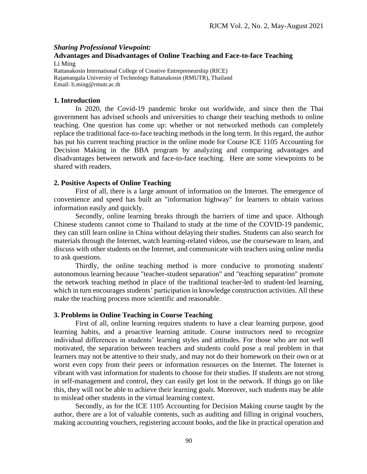# *Sharing Professional Viewpoint:* **Advantages and Disadvantages of Online Teaching and Face-to-face Teaching**

Li Ming Rattanakosin International College of Creative Entrepreneurship (RICE) Rajamangala University of Technology Rattanakosin (RMUTR), Thailand Email: [li.ming@rmutr.ac.th](mailto:li.ming@rmutr.ac.th)

## **1. Introduction**

In 2020, the Covid-19 pandemic broke out worldwide, and since then the Thai government has advised schools and universities to change their teaching methods to online teaching. One question has come up: whether or not networked methods can completely replace the traditional face-to-face teaching methods in the long term. In this regard, the author has put his current teaching practice in the online mode for Course ICE 1105 Accounting for Decision Making in the BBA program by analyzing and comparing advantages and disadvantages between network and face-to-face teaching. Here are some viewpoints to be shared with readers.

## **2. Positive Aspects of Online Teaching**

First of all, there is a large amount of information on the Internet. The emergence of convenience and speed has built an "information highway" for learners to obtain various information easily and quickly.

Secondly, online learning breaks through the barriers of time and space. Although Chinese students cannot come to Thailand to study at the time of the COVID-19 pandemic, they can still learn online in China without delaying their studies. Students can also search for materials through the Internet, watch learning-related videos, use the courseware to learn, and discuss with other students on the Internet, and communicate with teachers using online media to ask questions.

Thirdly, the online teaching method is more conducive to promoting students' autonomous learning because "teacher-student separation" and "teaching separation" promote the network teaching method in place of the traditional teacher-led to student-led learning, which in turn encourages students' participation in knowledge construction activities. All these make the teaching process more scientific and reasonable.

## **3. Problems in Online Teaching in Course Teaching**

First of all, online learning requires students to have a clear learning purpose, good learning habits, and a proactive learning attitude. Course instructors need to recognize individual differences in students' learning styles and attitudes. For those who are not well motivated, the separation between teachers and students could pose a real problem in that learners may not be attentive to their study, and may not do their homework on their own or at worst even copy from their peers or information resources on the Internet. The Internet is vibrant with vast information for students to choose for their studies. If students are not strong in self-management and control, they can easily get lost in the network. If things go on like this, they will not be able to achieve their learning goals. Moreover, such students may be able to mislead other students in the virtual learning context.

Secondly, as for the ICE 1105 Accounting for Decision Making course taught by the author, there are a lot of valuable contents, such as auditing and filling in original vouchers, making accounting vouchers, registering account books, and the like in practical operation and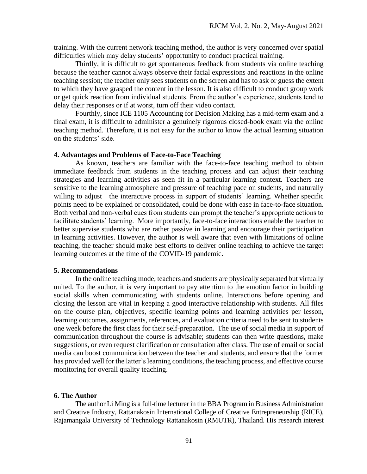training. With the current network teaching method, the author is very concerned over spatial difficulties which may delay students' opportunity to conduct practical training.

Thirdly, it is difficult to get spontaneous feedback from students via online teaching because the teacher cannot always observe their facial expressions and reactions in the online teaching session; the teacher only sees students on the screen and has to ask or guess the extent to which they have grasped the content in the lesson. It is also difficult to conduct group work or get quick reaction from individual students. From the author's experience, students tend to delay their responses or if at worst, turn off their video contact.

Fourthly, since ICE 1105 Accounting for Decision Making has a mid-term exam and a final exam, it is difficult to administer a genuinely rigorous closed-book exam via the online teaching method. Therefore, it is not easy for the author to know the actual learning situation on the students' side.

#### **4. Advantages and Problems of Face-to-Face Teaching**

As known, teachers are familiar with the face-to-face teaching method to obtain immediate feedback from students in the teaching process and can adjust their teaching strategies and learning activities as seen fit in a particular learning context. Teachers are sensitive to the learning atmosphere and pressure of teaching pace on students, and naturally willing to adjust the interactive process in support of students' learning. Whether specific points need to be explained or consolidated, could be done with ease in face-to-face situation. Both verbal and non-verbal cues from students can prompt the teacher's appropriate actions to facilitate students' learning. More importantly, face-to-face interactions enable the teacher to better supervise students who are rather passive in learning and encourage their participation in learning activities. However, the author is well aware that even with limitations of online teaching, the teacher should make best efforts to deliver online teaching to achieve the target learning outcomes at the time of the COVID-19 pandemic.

#### **5. Recommendations**

In the online teaching mode, teachers and students are physically separated but virtually united. To the author, it is very important to pay attention to the emotion factor in building social skills when communicating with students online. Interactions before opening and closing the lesson are vital in keeping a good interactive relationship with students. All files on the course plan, objectives, specific learning points and learning activities per lesson, learning outcomes, assignments, references, and evaluation criteria need to be sent to students one week before the first class for their self-preparation. The use of social media in support of communication throughout the course is advisable; students can then write questions, make suggestions, or even request clarification or consultation after class. The use of email or social media can boost communication between the teacher and students, and ensure that the former has provided well for the latter's learning conditions, the teaching process, and effective course monitoring for overall quality teaching.

#### **6. The Author**

The author Li Ming is a full-time lecturer in the BBA Program in Business Administration and Creative Industry, Rattanakosin International College of Creative Entrepreneurship (RICE), Rajamangala University of Technology Rattanakosin (RMUTR), Thailand. His research interest